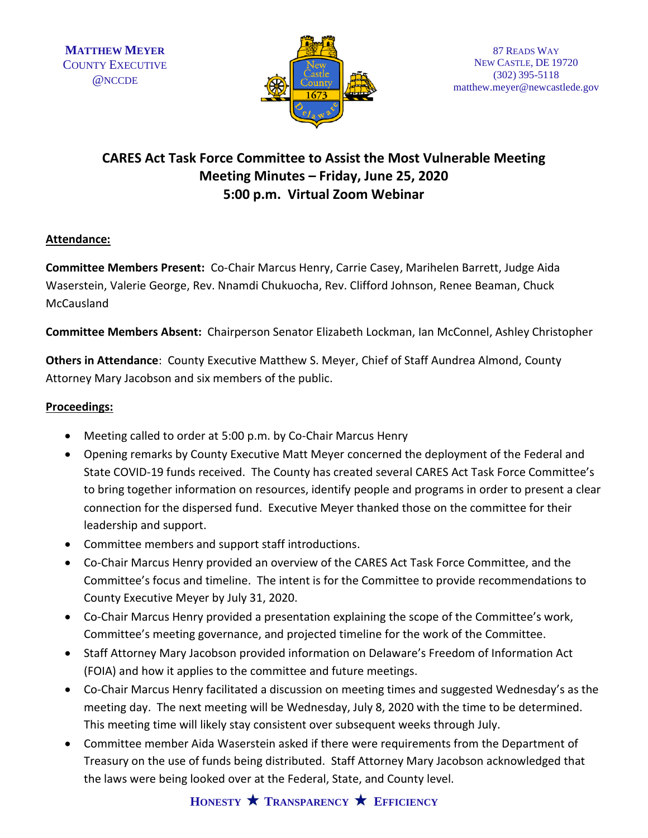

# **CARES Act Task Force Committee to Assist the Most Vulnerable Meeting Meeting Minutes – Friday, June 25, 2020 5:00 p.m. Virtual Zoom Webinar**

## **Attendance:**

**Committee Members Present:** Co-Chair Marcus Henry, Carrie Casey, Marihelen Barrett, Judge Aida Waserstein, Valerie George, Rev. Nnamdi Chukuocha, Rev. Clifford Johnson, Renee Beaman, Chuck **McCausland** 

**Committee Members Absent:** Chairperson Senator Elizabeth Lockman, Ian McConnel, Ashley Christopher

**Others in Attendance**: County Executive Matthew S. Meyer, Chief of Staff Aundrea Almond, County Attorney Mary Jacobson and six members of the public.

## **Proceedings:**

- Meeting called to order at 5:00 p.m. by Co-Chair Marcus Henry
- Opening remarks by County Executive Matt Meyer concerned the deployment of the Federal and State COVID-19 funds received. The County has created several CARES Act Task Force Committee's to bring together information on resources, identify people and programs in order to present a clear connection for the dispersed fund. Executive Meyer thanked those on the committee for their leadership and support.
- Committee members and support staff introductions.
- Co-Chair Marcus Henry provided an overview of the CARES Act Task Force Committee, and the Committee's focus and timeline. The intent is for the Committee to provide recommendations to County Executive Meyer by July 31, 2020.
- Co-Chair Marcus Henry provided a presentation explaining the scope of the Committee's work, Committee's meeting governance, and projected timeline for the work of the Committee.
- Staff Attorney Mary Jacobson provided information on Delaware's Freedom of Information Act (FOIA) and how it applies to the committee and future meetings.
- Co-Chair Marcus Henry facilitated a discussion on meeting times and suggested Wednesday's as the meeting day. The next meeting will be Wednesday, July 8, 2020 with the time to be determined. This meeting time will likely stay consistent over subsequent weeks through July.
- Committee member Aida Waserstein asked if there were requirements from the Department of Treasury on the use of funds being distributed. Staff Attorney Mary Jacobson acknowledged that the laws were being looked over at the Federal, State, and County level.